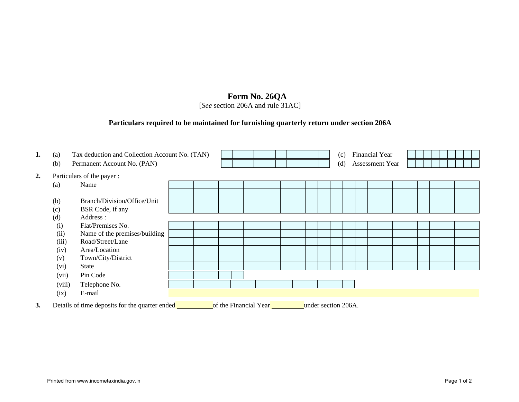## **Form No. 26QA**

[*See* section 206A and rule 31AC]

## **Particulars required to be maintained for furnishing quarterly return under section 206A**

| 1. | (a)               | Tax deduction and Collection Account No. (TAN)<br>Permanent Account No. (PAN)                  |  |  |  |  |  |  |  |  |  | Financial Year<br>(c) |  |  |                               |  |  |  |  |  |  |  |  |
|----|-------------------|------------------------------------------------------------------------------------------------|--|--|--|--|--|--|--|--|--|-----------------------|--|--|-------------------------------|--|--|--|--|--|--|--|--|
|    | (b)               |                                                                                                |  |  |  |  |  |  |  |  |  |                       |  |  | <b>Assessment Year</b><br>(d) |  |  |  |  |  |  |  |  |
| 2. |                   | Particulars of the payer:                                                                      |  |  |  |  |  |  |  |  |  |                       |  |  |                               |  |  |  |  |  |  |  |  |
|    | $\left( a\right)$ | Name                                                                                           |  |  |  |  |  |  |  |  |  |                       |  |  |                               |  |  |  |  |  |  |  |  |
|    |                   |                                                                                                |  |  |  |  |  |  |  |  |  |                       |  |  |                               |  |  |  |  |  |  |  |  |
|    | (b)               | Branch/Division/Office/Unit                                                                    |  |  |  |  |  |  |  |  |  |                       |  |  |                               |  |  |  |  |  |  |  |  |
|    | (c)               | BSR Code, if any                                                                               |  |  |  |  |  |  |  |  |  |                       |  |  |                               |  |  |  |  |  |  |  |  |
|    | (d)               | Address:                                                                                       |  |  |  |  |  |  |  |  |  |                       |  |  |                               |  |  |  |  |  |  |  |  |
|    | (i)               | Flat/Premises No.                                                                              |  |  |  |  |  |  |  |  |  |                       |  |  |                               |  |  |  |  |  |  |  |  |
|    | (ii)              | Name of the premises/building                                                                  |  |  |  |  |  |  |  |  |  |                       |  |  |                               |  |  |  |  |  |  |  |  |
|    | (iii)             | Road/Street/Lane                                                                               |  |  |  |  |  |  |  |  |  |                       |  |  |                               |  |  |  |  |  |  |  |  |
|    | (iv)              | Area/Location                                                                                  |  |  |  |  |  |  |  |  |  |                       |  |  |                               |  |  |  |  |  |  |  |  |
|    | (v)               | Town/City/District                                                                             |  |  |  |  |  |  |  |  |  |                       |  |  |                               |  |  |  |  |  |  |  |  |
|    | (vi)              | State                                                                                          |  |  |  |  |  |  |  |  |  |                       |  |  |                               |  |  |  |  |  |  |  |  |
|    | (vii)             | Pin Code                                                                                       |  |  |  |  |  |  |  |  |  |                       |  |  |                               |  |  |  |  |  |  |  |  |
|    | (viii)            | Telephone No.                                                                                  |  |  |  |  |  |  |  |  |  |                       |  |  |                               |  |  |  |  |  |  |  |  |
|    | (ix)              | E-mail                                                                                         |  |  |  |  |  |  |  |  |  |                       |  |  |                               |  |  |  |  |  |  |  |  |
| 3. |                   | Details of time deposits for the quarter ended<br>of the Financial Year<br>under section 206A. |  |  |  |  |  |  |  |  |  |                       |  |  |                               |  |  |  |  |  |  |  |  |